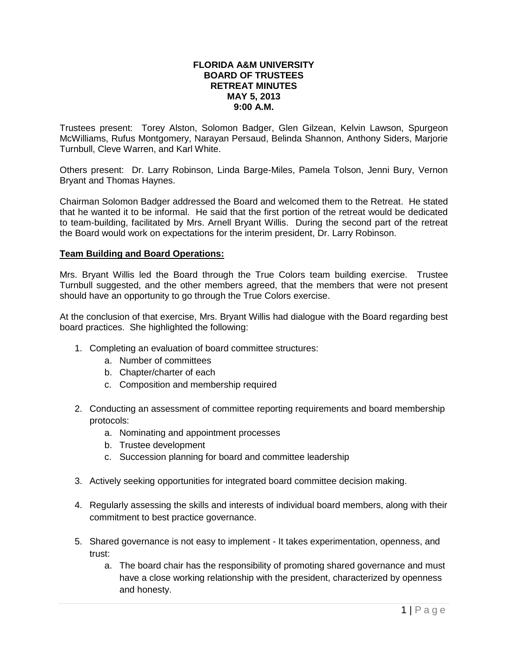#### **FLORIDA A&M UNIVERSITY BOARD OF TRUSTEES RETREAT MINUTES MAY 5, 2013 9:00 A.M.**

Trustees present: Torey Alston, Solomon Badger, Glen Gilzean, Kelvin Lawson, Spurgeon McWilliams, Rufus Montgomery, Narayan Persaud, Belinda Shannon, Anthony Siders, Marjorie Turnbull, Cleve Warren, and Karl White.

Others present: Dr. Larry Robinson, Linda Barge-Miles, Pamela Tolson, Jenni Bury, Vernon Bryant and Thomas Haynes.

Chairman Solomon Badger addressed the Board and welcomed them to the Retreat. He stated that he wanted it to be informal. He said that the first portion of the retreat would be dedicated to team-building, facilitated by Mrs. Arnell Bryant Willis. During the second part of the retreat the Board would work on expectations for the interim president, Dr. Larry Robinson.

#### **Team Building and Board Operations:**

Mrs. Bryant Willis led the Board through the True Colors team building exercise. Trustee Turnbull suggested, and the other members agreed, that the members that were not present should have an opportunity to go through the True Colors exercise.

At the conclusion of that exercise, Mrs. Bryant Willis had dialogue with the Board regarding best board practices. She highlighted the following:

- 1. Completing an evaluation of board committee structures:
	- a. Number of committees
	- b. Chapter/charter of each
	- c. Composition and membership required
- 2. Conducting an assessment of committee reporting requirements and board membership protocols:
	- a. Nominating and appointment processes
	- b. Trustee development
	- c. Succession planning for board and committee leadership
- 3. Actively seeking opportunities for integrated board committee decision making.
- 4. Regularly assessing the skills and interests of individual board members, along with their commitment to best practice governance.
- 5. Shared governance is not easy to implement It takes experimentation, openness, and trust:
	- a. The board chair has the responsibility of promoting shared governance and must have a close working relationship with the president, characterized by openness and honesty.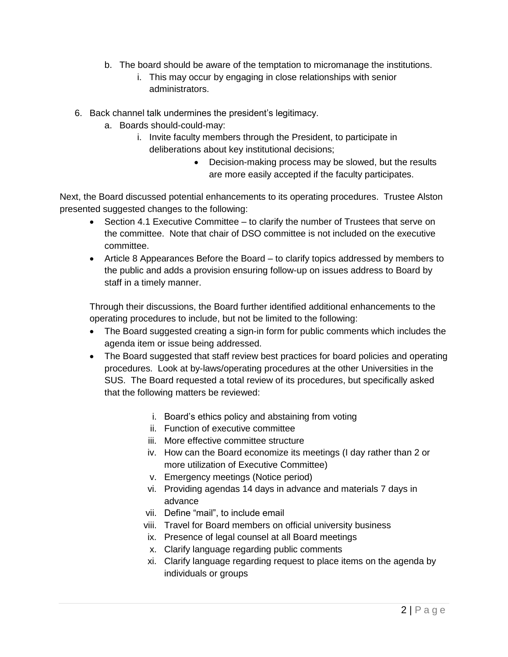- b. The board should be aware of the temptation to micromanage the institutions.
	- i. This may occur by engaging in close relationships with senior administrators.
- 6. Back channel talk undermines the president's legitimacy.
	- a. Boards should-could-may:
		- i. Invite faculty members through the President, to participate in deliberations about key institutional decisions;
			- Decision-making process may be slowed, but the results are more easily accepted if the faculty participates.

Next, the Board discussed potential enhancements to its operating procedures. Trustee Alston presented suggested changes to the following:

- Section 4.1 Executive Committee to clarify the number of Trustees that serve on the committee. Note that chair of DSO committee is not included on the executive committee.
- Article 8 Appearances Before the Board to clarify topics addressed by members to the public and adds a provision ensuring follow-up on issues address to Board by staff in a timely manner.

Through their discussions, the Board further identified additional enhancements to the operating procedures to include, but not be limited to the following:

- The Board suggested creating a sign-in form for public comments which includes the agenda item or issue being addressed.
- The Board suggested that staff review best practices for board policies and operating procedures. Look at by-laws/operating procedures at the other Universities in the SUS. The Board requested a total review of its procedures, but specifically asked that the following matters be reviewed:
	- i. Board's ethics policy and abstaining from voting
	- ii. Function of executive committee
	- iii. More effective committee structure
	- iv. How can the Board economize its meetings (I day rather than 2 or more utilization of Executive Committee)
	- v. Emergency meetings (Notice period)
	- vi. Providing agendas 14 days in advance and materials 7 days in advance
	- vii. Define "mail", to include email
	- viii. Travel for Board members on official university business
	- ix. Presence of legal counsel at all Board meetings
	- x. Clarify language regarding public comments
	- xi. Clarify language regarding request to place items on the agenda by individuals or groups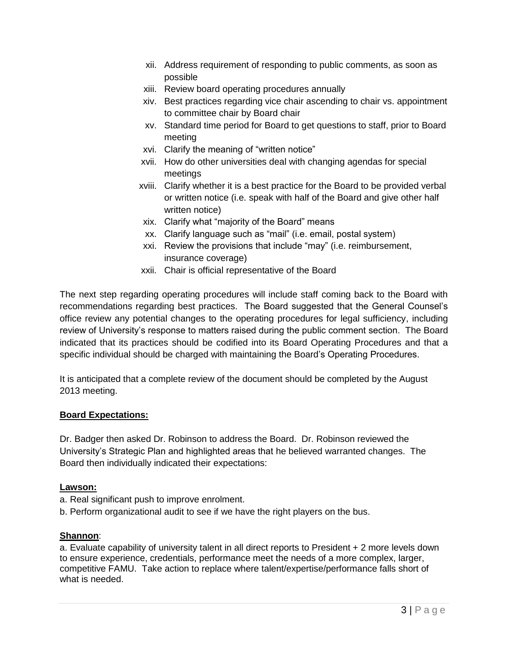- xii. Address requirement of responding to public comments, as soon as possible
- xiii. Review board operating procedures annually
- xiv. Best practices regarding vice chair ascending to chair vs. appointment to committee chair by Board chair
- xv. Standard time period for Board to get questions to staff, prior to Board meeting
- xvi. Clarify the meaning of "written notice"
- xvii. How do other universities deal with changing agendas for special meetings
- xviii. Clarify whether it is a best practice for the Board to be provided verbal or written notice (i.e. speak with half of the Board and give other half written notice)
- xix. Clarify what "majority of the Board" means
- xx. Clarify language such as "mail" (i.e. email, postal system)
- xxi. Review the provisions that include "may" (i.e. reimbursement, insurance coverage)
- xxii. Chair is official representative of the Board

The next step regarding operating procedures will include staff coming back to the Board with recommendations regarding best practices. The Board suggested that the General Counsel's office review any potential changes to the operating procedures for legal sufficiency, including review of University's response to matters raised during the public comment section. The Board indicated that its practices should be codified into its Board Operating Procedures and that a specific individual should be charged with maintaining the Board's Operating Procedures.

It is anticipated that a complete review of the document should be completed by the August 2013 meeting.

### **Board Expectations:**

Dr. Badger then asked Dr. Robinson to address the Board. Dr. Robinson reviewed the University's Strategic Plan and highlighted areas that he believed warranted changes. The Board then individually indicated their expectations:

#### **Lawson:**

- a. Real significant push to improve enrolment.
- b. Perform organizational audit to see if we have the right players on the bus.

#### **Shannon**:

a. Evaluate capability of university talent in all direct reports to President + 2 more levels down to ensure experience, credentials, performance meet the needs of a more complex, larger, competitive FAMU. Take action to replace where talent/expertise/performance falls short of what is needed.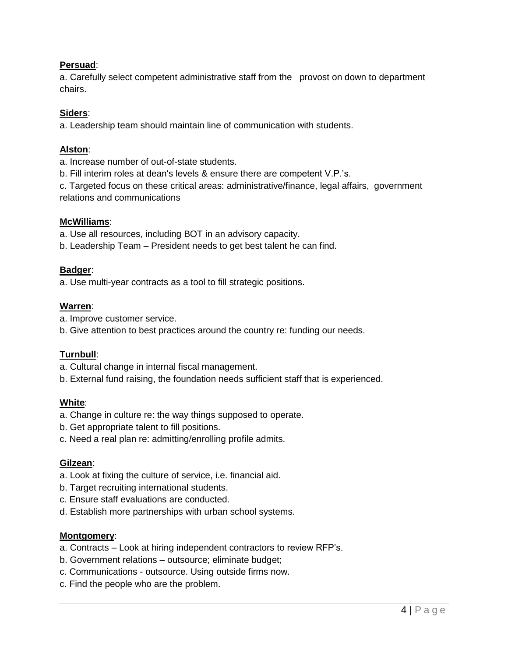### **Persuad**:

a. Carefully select competent administrative staff from the provost on down to department chairs.

## **Siders**:

a. Leadership team should maintain line of communication with students.

## **Alston**:

a. Increase number of out-of-state students.

b. Fill interim roles at dean's levels & ensure there are competent V.P.'s.

c. Targeted focus on these critical areas: administrative/finance, legal affairs, government relations and communications

## **McWilliams**:

a. Use all resources, including BOT in an advisory capacity.

b. Leadership Team – President needs to get best talent he can find.

# **Badger**:

a. Use multi-year contracts as a tool to fill strategic positions.

## **Warren**:

a. Improve customer service.

b. Give attention to best practices around the country re: funding our needs.

# **Turnbull**:

- a. Cultural change in internal fiscal management.
- b. External fund raising, the foundation needs sufficient staff that is experienced.

# **White**:

- a. Change in culture re: the way things supposed to operate.
- b. Get appropriate talent to fill positions.
- c. Need a real plan re: admitting/enrolling profile admits.

# **Gilzean**:

- a. Look at fixing the culture of service, i.e. financial aid.
- b. Target recruiting international students.
- c. Ensure staff evaluations are conducted.
- d. Establish more partnerships with urban school systems.

### **Montgomery**:

- a. Contracts Look at hiring independent contractors to review RFP's.
- b. Government relations outsource; eliminate budget;
- c. Communications outsource. Using outside firms now.
- c. Find the people who are the problem.